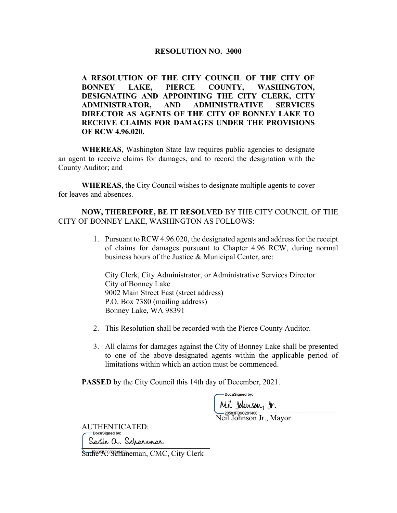## RESOLUTION NO. 3000

A RESOLUTION OF THE CITY COUNCIL OF THE CITY OF BONNEY LAKE, PIERCE COUNTY, WASHINGTON, DESIGNATING AND APPOINTING THE CITY CLERK, CITY ADMINISTRATOR, AND ADMINISTRATIVE SERVICES DIRECTOR AS AGENTS OF THE CITY OF BONNEY LAKE TO RECEIVE CLAIMS FOR DAMAGES UNDER THE PROVISIONS OF RCW 4.96.020.

WHEREAS, Washington State law requires public agencies to designate an agent to receive claims for damages, and to record the designation with the County Auditor; and

WHEREAS, the City Council wishes to designate multiple agents to cover for leaves and absences.

## NOW, THEREFORE, BE IT RESOLVED BY THE CITY COUNCIL OF THE CITY OF BONNEY LAKE, WASHINGTON AS FOLLOWS:

1. Pursuant to RCW 4.96.020, the designated agents and address for the receipt of claims for damages pursuant to Chapter 4.96 RCW, during normal business hours of the Justice & Municipal Center, are:

City Clerk, City Administrator, or Administrative Services Director City of Bonney Lake 9002 Main Street East (street address) P.O. Box 7380 (mailing address) Bonney Lake, WA 98391

- 2. This Resolution shall be recorded with the Pierce County Auditor.
- 3. All claims for damages against the City of Bonney Lake shall be presented to one of the above-designated agents within the applicable period of limitations within which an action must be commenced.

PASSED by the City Council this 14th day of December, 2021.

DocuSianed by:

 $P''$ 

Neil Johnson Jr., Mayor

AUTHENTICATED: Sadie a. Scharemar

Sadi<sup>e</sup><sup>5</sup>A. Schaneman, CMC, City Clerk